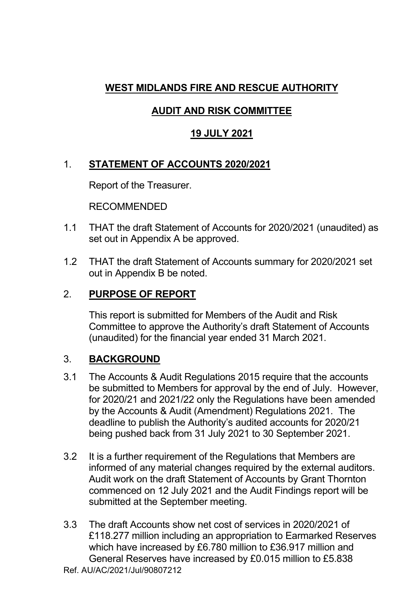## **WEST MIDLANDS FIRE AND RESCUE AUTHORITY**

# **AUDIT AND RISK COMMITTEE**

## **19 JULY 2021**

## 1. **STATEMENT OF ACCOUNTS 2020/2021**

Report of the Treasurer.

RECOMMENDED

- 1.1 THAT the draft Statement of Accounts for 2020/2021 (unaudited) as set out in Appendix A be approved.
- 1.2 THAT the draft Statement of Accounts summary for 2020/2021 set out in Appendix B be noted.

## 2. **PURPOSE OF REPORT**

 This report is submitted for Members of the Audit and Risk Committee to approve the Authority's draft Statement of Accounts (unaudited) for the financial year ended 31 March 2021.

#### 3. **BACKGROUND**

- 3.1 The Accounts & Audit Regulations 2015 require that the accounts be submitted to Members for approval by the end of July. However, for 2020/21 and 2021/22 only the Regulations have been amended by the Accounts & Audit (Amendment) Regulations 2021. The deadline to publish the Authority's audited accounts for 2020/21 being pushed back from 31 July 2021 to 30 September 2021.
- 3.2 It is a further requirement of the Regulations that Members are informed of any material changes required by the external auditors. Audit work on the draft Statement of Accounts by Grant Thornton commenced on 12 July 2021 and the Audit Findings report will be submitted at the September meeting.
- Ref. AU/AC/2021/Jul/90807212 3.3 The draft Accounts show net cost of services in 2020/2021 of £118.277 million including an appropriation to Earmarked Reserves which have increased by £6.780 million to £36.917 million and General Reserves have increased by £0.015 million to £5.838